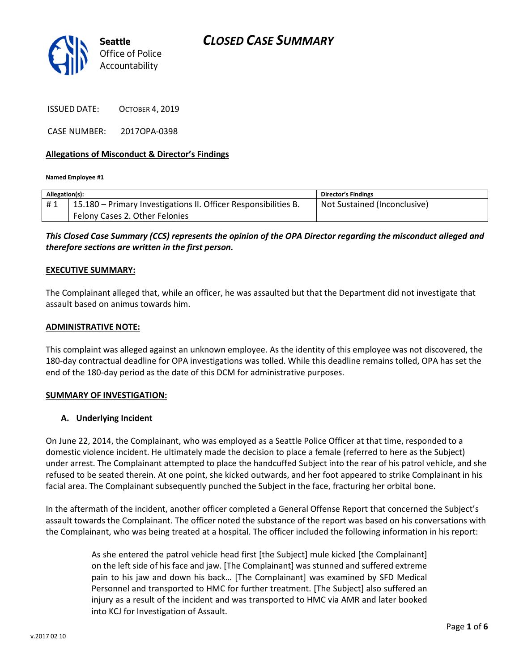

ISSUED DATE: OCTOBER 4, 2019

CASE NUMBER: 2017OPA-0398

### Allegations of Misconduct & Director's Findings

Named Employee #1

| Allegation(s): |                                                                 | <b>Director's Findings</b>   |
|----------------|-----------------------------------------------------------------|------------------------------|
| #1             | 15.180 – Primary Investigations II. Officer Responsibilities B. | Not Sustained (Inconclusive) |
|                | Felony Cases 2. Other Felonies                                  |                              |

This Closed Case Summary (CCS) represents the opinion of the OPA Director regarding the misconduct alleged and therefore sections are written in the first person.

#### EXECUTIVE SUMMARY:

The Complainant alleged that, while an officer, he was assaulted but that the Department did not investigate that assault based on animus towards him.

#### ADMINISTRATIVE NOTE:

This complaint was alleged against an unknown employee. As the identity of this employee was not discovered, the 180-day contractual deadline for OPA investigations was tolled. While this deadline remains tolled, OPA has set the end of the 180-day period as the date of this DCM for administrative purposes.

#### SUMMARY OF INVESTIGATION:

#### A. Underlying Incident

On June 22, 2014, the Complainant, who was employed as a Seattle Police Officer at that time, responded to a domestic violence incident. He ultimately made the decision to place a female (referred to here as the Subject) under arrest. The Complainant attempted to place the handcuffed Subject into the rear of his patrol vehicle, and she refused to be seated therein. At one point, she kicked outwards, and her foot appeared to strike Complainant in his facial area. The Complainant subsequently punched the Subject in the face, fracturing her orbital bone.

In the aftermath of the incident, another officer completed a General Offense Report that concerned the Subject's assault towards the Complainant. The officer noted the substance of the report was based on his conversations with the Complainant, who was being treated at a hospital. The officer included the following information in his report:

> As she entered the patrol vehicle head first [the Subject] mule kicked [the Complainant] on the left side of his face and jaw. [The Complainant] was stunned and suffered extreme pain to his jaw and down his back… [The Complainant] was examined by SFD Medical Personnel and transported to HMC for further treatment. [The Subject] also suffered an injury as a result of the incident and was transported to HMC via AMR and later booked into KCJ for Investigation of Assault.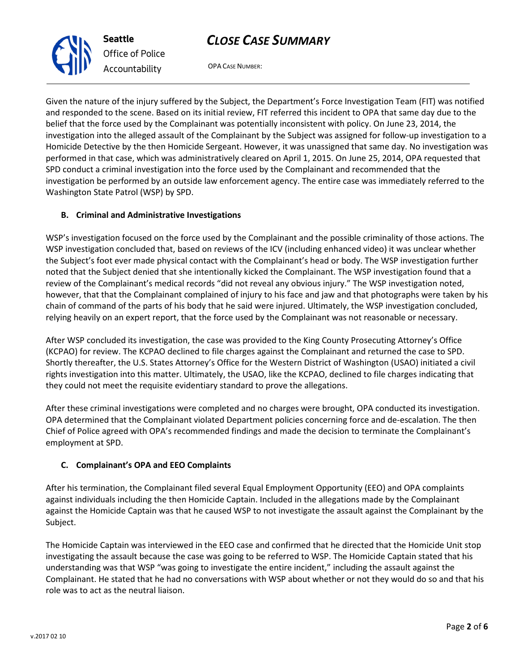

OPA CASE NUMBER:

Given the nature of the injury suffered by the Subject, the Department's Force Investigation Team (FIT) was notified and responded to the scene. Based on its initial review, FIT referred this incident to OPA that same day due to the belief that the force used by the Complainant was potentially inconsistent with policy. On June 23, 2014, the investigation into the alleged assault of the Complainant by the Subject was assigned for follow-up investigation to a Homicide Detective by the then Homicide Sergeant. However, it was unassigned that same day. No investigation was performed in that case, which was administratively cleared on April 1, 2015. On June 25, 2014, OPA requested that SPD conduct a criminal investigation into the force used by the Complainant and recommended that the investigation be performed by an outside law enforcement agency. The entire case was immediately referred to the Washington State Patrol (WSP) by SPD.

## B. Criminal and Administrative Investigations

WSP's investigation focused on the force used by the Complainant and the possible criminality of those actions. The WSP investigation concluded that, based on reviews of the ICV (including enhanced video) it was unclear whether the Subject's foot ever made physical contact with the Complainant's head or body. The WSP investigation further noted that the Subject denied that she intentionally kicked the Complainant. The WSP investigation found that a review of the Complainant's medical records "did not reveal any obvious injury." The WSP investigation noted, however, that that the Complainant complained of injury to his face and jaw and that photographs were taken by his chain of command of the parts of his body that he said were injured. Ultimately, the WSP investigation concluded, relying heavily on an expert report, that the force used by the Complainant was not reasonable or necessary.

After WSP concluded its investigation, the case was provided to the King County Prosecuting Attorney's Office (KCPAO) for review. The KCPAO declined to file charges against the Complainant and returned the case to SPD. Shortly thereafter, the U.S. States Attorney's Office for the Western District of Washington (USAO) initiated a civil rights investigation into this matter. Ultimately, the USAO, like the KCPAO, declined to file charges indicating that they could not meet the requisite evidentiary standard to prove the allegations.

After these criminal investigations were completed and no charges were brought, OPA conducted its investigation. OPA determined that the Complainant violated Department policies concerning force and de-escalation. The then Chief of Police agreed with OPA's recommended findings and made the decision to terminate the Complainant's employment at SPD.

## C. Complainant's OPA and EEO Complaints

After his termination, the Complainant filed several Equal Employment Opportunity (EEO) and OPA complaints against individuals including the then Homicide Captain. Included in the allegations made by the Complainant against the Homicide Captain was that he caused WSP to not investigate the assault against the Complainant by the Subject.

The Homicide Captain was interviewed in the EEO case and confirmed that he directed that the Homicide Unit stop investigating the assault because the case was going to be referred to WSP. The Homicide Captain stated that his understanding was that WSP "was going to investigate the entire incident," including the assault against the Complainant. He stated that he had no conversations with WSP about whether or not they would do so and that his role was to act as the neutral liaison.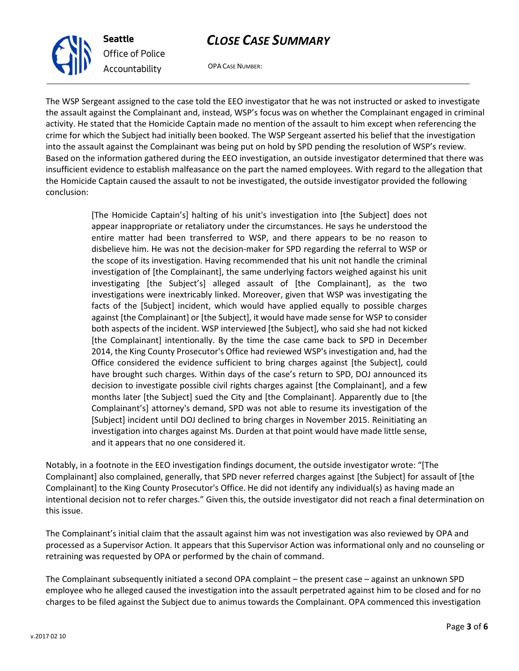

OPA CASE NUMBER:

The WSP Sergeant assigned to the case told the EEO investigator that he was not instructed or asked to investigate the assault against the Complainant and, instead, WSP's focus was on whether the Complainant engaged in criminal activity. He stated that the Homicide Captain made no mention of the assault to him except when referencing the crime for which the Subject had initially been booked. The WSP Sergeant asserted his belief that the investigation into the assault against the Complainant was being put on hold by SPD pending the resolution of WSP's review. Based on the information gathered during the EEO investigation, an outside investigator determined that there was insufficient evidence to establish malfeasance on the part the named employees. With regard to the allegation that the Homicide Captain caused the assault to not be investigated, the outside investigator provided the following conclusion:

> [The Homicide Captain's] halting of his unit's investigation into [the Subject] does not appear inappropriate or retaliatory under the circumstances. He says he understood the entire matter had been transferred to WSP, and there appears to be no reason to disbelieve him. He was not the decision-maker for SPD regarding the referral to WSP or the scope of its investigation. Having recommended that his unit not handle the criminal investigation of [the Complainant], the same underlying factors weighed against his unit investigating [the Subject's] alleged assault of [the Complainant], as the two investigations were inextricably linked. Moreover, given that WSP was investigating the facts of the [Subject] incident, which would have applied equally to possible charges against [the Complainant] or [the Subject], it would have made sense for WSP to consider both aspects of the incident. WSP interviewed [the Subject], who said she had not kicked [the Complainant] intentionally. By the time the case came back to SPD in December 2014, the King County Prosecutor's Office had reviewed WSP's investigation and, had the Office considered the evidence sufficient to bring charges against [the Subject], could have brought such charges. Within days of the case's return to SPD, DOJ announced its decision to investigate possible civil rights charges against [the Complainant], and a few months later [the Subject] sued the City and [the Complainant]. Apparently due to [the Complainant's] attorney's demand, SPD was not able to resume its investigation of the [Subject] incident until DOJ declined to bring charges in November 2015. Reinitiating an investigation into charges against Ms. Durden at that point would have made little sense, and it appears that no one considered it.

Notably, in a footnote in the EEO investigation findings document, the outside investigator wrote: "[The Complainant] also complained, generally, that SPD never referred charges against [the Subject] for assault of [the Complainant] to the King County Prosecutor's Office. He did not identify any individual(s) as having made an intentional decision not to refer charges." Given this, the outside investigator did not reach a final determination on this issue.

The Complainant's initial claim that the assault against him was not investigation was also reviewed by OPA and processed as a Supervisor Action. It appears that this Supervisor Action was informational only and no counseling or retraining was requested by OPA or performed by the chain of command.

The Complainant subsequently initiated a second OPA complaint – the present case – against an unknown SPD employee who he alleged caused the investigation into the assault perpetrated against him to be closed and for no charges to be filed against the Subject due to animus towards the Complainant. OPA commenced this investigation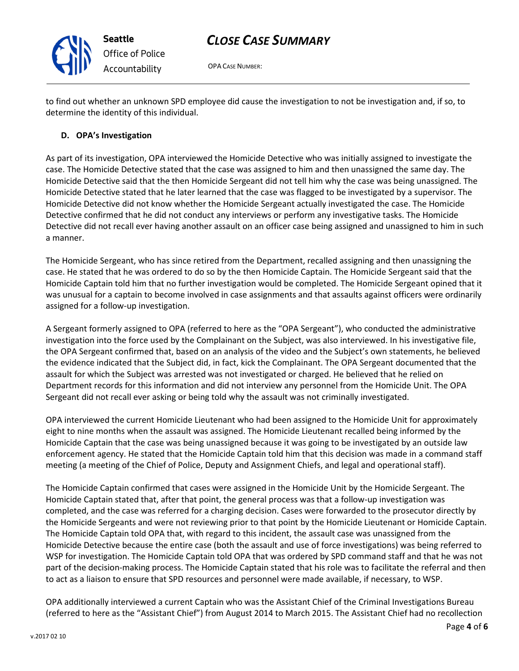

OPA CASE NUMBER:

to find out whether an unknown SPD employee did cause the investigation to not be investigation and, if so, to determine the identity of this individual.

## D. OPA's Investigation

As part of its investigation, OPA interviewed the Homicide Detective who was initially assigned to investigate the case. The Homicide Detective stated that the case was assigned to him and then unassigned the same day. The Homicide Detective said that the then Homicide Sergeant did not tell him why the case was being unassigned. The Homicide Detective stated that he later learned that the case was flagged to be investigated by a supervisor. The Homicide Detective did not know whether the Homicide Sergeant actually investigated the case. The Homicide Detective confirmed that he did not conduct any interviews or perform any investigative tasks. The Homicide Detective did not recall ever having another assault on an officer case being assigned and unassigned to him in such a manner.

The Homicide Sergeant, who has since retired from the Department, recalled assigning and then unassigning the case. He stated that he was ordered to do so by the then Homicide Captain. The Homicide Sergeant said that the Homicide Captain told him that no further investigation would be completed. The Homicide Sergeant opined that it was unusual for a captain to become involved in case assignments and that assaults against officers were ordinarily assigned for a follow-up investigation.

A Sergeant formerly assigned to OPA (referred to here as the "OPA Sergeant"), who conducted the administrative investigation into the force used by the Complainant on the Subject, was also interviewed. In his investigative file, the OPA Sergeant confirmed that, based on an analysis of the video and the Subject's own statements, he believed the evidence indicated that the Subject did, in fact, kick the Complainant. The OPA Sergeant documented that the assault for which the Subject was arrested was not investigated or charged. He believed that he relied on Department records for this information and did not interview any personnel from the Homicide Unit. The OPA Sergeant did not recall ever asking or being told why the assault was not criminally investigated.

OPA interviewed the current Homicide Lieutenant who had been assigned to the Homicide Unit for approximately eight to nine months when the assault was assigned. The Homicide Lieutenant recalled being informed by the Homicide Captain that the case was being unassigned because it was going to be investigated by an outside law enforcement agency. He stated that the Homicide Captain told him that this decision was made in a command staff meeting (a meeting of the Chief of Police, Deputy and Assignment Chiefs, and legal and operational staff).

The Homicide Captain confirmed that cases were assigned in the Homicide Unit by the Homicide Sergeant. The Homicide Captain stated that, after that point, the general process was that a follow-up investigation was completed, and the case was referred for a charging decision. Cases were forwarded to the prosecutor directly by the Homicide Sergeants and were not reviewing prior to that point by the Homicide Lieutenant or Homicide Captain. The Homicide Captain told OPA that, with regard to this incident, the assault case was unassigned from the Homicide Detective because the entire case (both the assault and use of force investigations) was being referred to WSP for investigation. The Homicide Captain told OPA that was ordered by SPD command staff and that he was not part of the decision-making process. The Homicide Captain stated that his role was to facilitate the referral and then to act as a liaison to ensure that SPD resources and personnel were made available, if necessary, to WSP.

OPA additionally interviewed a current Captain who was the Assistant Chief of the Criminal Investigations Bureau (referred to here as the "Assistant Chief") from August 2014 to March 2015. The Assistant Chief had no recollection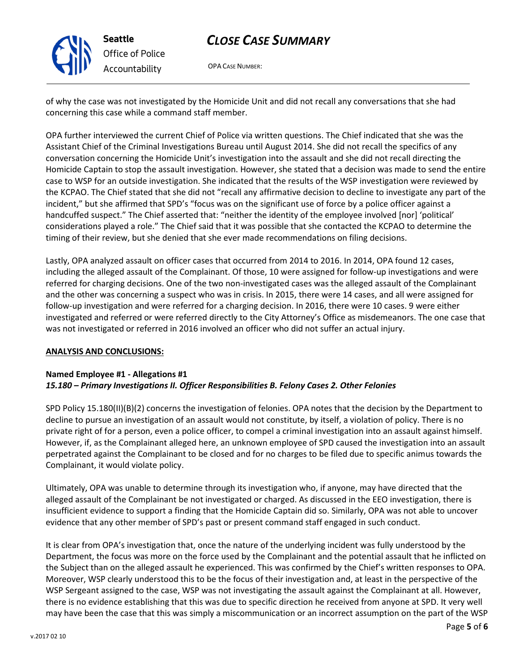

OPA CASE NUMBER:

of why the case was not investigated by the Homicide Unit and did not recall any conversations that she had concerning this case while a command staff member.

OPA further interviewed the current Chief of Police via written questions. The Chief indicated that she was the Assistant Chief of the Criminal Investigations Bureau until August 2014. She did not recall the specifics of any conversation concerning the Homicide Unit's investigation into the assault and she did not recall directing the Homicide Captain to stop the assault investigation. However, she stated that a decision was made to send the entire case to WSP for an outside investigation. She indicated that the results of the WSP investigation were reviewed by the KCPAO. The Chief stated that she did not "recall any affirmative decision to decline to investigate any part of the incident," but she affirmed that SPD's "focus was on the significant use of force by a police officer against a handcuffed suspect." The Chief asserted that: "neither the identity of the employee involved [nor] 'political' considerations played a role." The Chief said that it was possible that she contacted the KCPAO to determine the timing of their review, but she denied that she ever made recommendations on filing decisions.

Lastly, OPA analyzed assault on officer cases that occurred from 2014 to 2016. In 2014, OPA found 12 cases, including the alleged assault of the Complainant. Of those, 10 were assigned for follow-up investigations and were referred for charging decisions. One of the two non-investigated cases was the alleged assault of the Complainant and the other was concerning a suspect who was in crisis. In 2015, there were 14 cases, and all were assigned for follow-up investigation and were referred for a charging decision. In 2016, there were 10 cases. 9 were either investigated and referred or were referred directly to the City Attorney's Office as misdemeanors. The one case that was not investigated or referred in 2016 involved an officer who did not suffer an actual injury.

### ANALYSIS AND CONCLUSIONS:

### Named Employee #1 - Allegations #1 15.180 – Primary Investigations II. Officer Responsibilities B. Felony Cases 2. Other Felonies

SPD Policy 15.180(II)(B)(2) concerns the investigation of felonies. OPA notes that the decision by the Department to decline to pursue an investigation of an assault would not constitute, by itself, a violation of policy. There is no private right of for a person, even a police officer, to compel a criminal investigation into an assault against himself. However, if, as the Complainant alleged here, an unknown employee of SPD caused the investigation into an assault perpetrated against the Complainant to be closed and for no charges to be filed due to specific animus towards the Complainant, it would violate policy.

Ultimately, OPA was unable to determine through its investigation who, if anyone, may have directed that the alleged assault of the Complainant be not investigated or charged. As discussed in the EEO investigation, there is insufficient evidence to support a finding that the Homicide Captain did so. Similarly, OPA was not able to uncover evidence that any other member of SPD's past or present command staff engaged in such conduct.

It is clear from OPA's investigation that, once the nature of the underlying incident was fully understood by the Department, the focus was more on the force used by the Complainant and the potential assault that he inflicted on the Subject than on the alleged assault he experienced. This was confirmed by the Chief's written responses to OPA. Moreover, WSP clearly understood this to be the focus of their investigation and, at least in the perspective of the WSP Sergeant assigned to the case, WSP was not investigating the assault against the Complainant at all. However, there is no evidence establishing that this was due to specific direction he received from anyone at SPD. It very well may have been the case that this was simply a miscommunication or an incorrect assumption on the part of the WSP